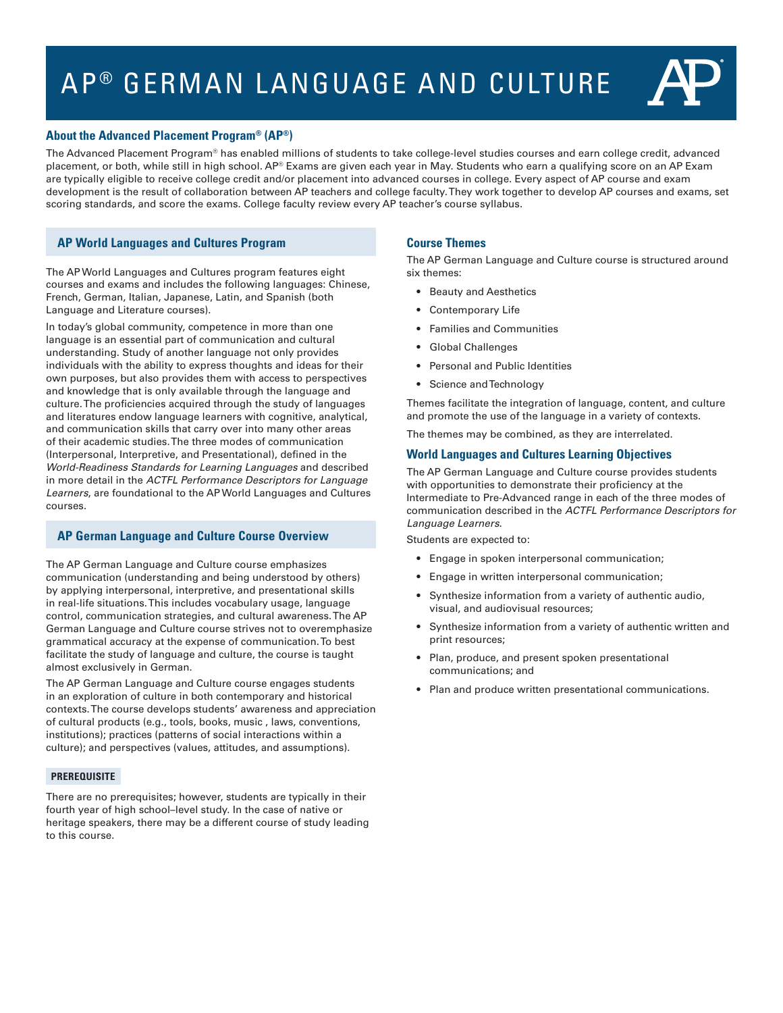# AP<sup>®</sup> GERMAN LANGUAGE AND CULTURE



The Advanced Placement Program® has enabled millions of students to take college-level studies courses and earn college credit, advanced placement, or both, while still in high school.  $AP^{\circ}$  Exams are given each year in May. Students who earn a qualifying score on an AP Exam are typically eligible to receive college credit and/or placement into advanced courses in college. Every aspect of AP course and exam development is the result of collaboration between AP teachers and college faculty. They work together to develop AP courses and exams, set scoring standards, and score the exams. College faculty review every AP teacher's course syllabus.

# **AP World Languages and Cultures Program**

The AP World Languages and Cultures program features eight courses and exams and includes the following languages: Chinese, French, German, Italian, Japanese, Latin, and Spanish (both Language and Literature courses).

In today's global community, competence in more than one language is an essential part of communication and cultural understanding. Study of another language not only provides individuals with the ability to express thoughts and ideas for their own purposes, but also provides them with access to perspectives and knowledge that is only available through the language and culture. The proficiencies acquired through the study of languages and literatures endow language learners with cognitive, analytical, and communication skills that carry over into many other areas of their academic studies. The three modes of communication (Interpersonal, Interpretive, and Presentational), defined in the *World-Readiness Standards for Learning Languages* and described in more detail in the *ACTFL Performance Descriptors for Language Learners*, are foundational to the AP World Languages and Cultures courses.

# **AP German Language and Culture Course Overview**

The AP German Language and Culture course emphasizes communication (understanding and being understood by others) by applying interpersonal, interpretive, and presentational skills in real-life situations. This includes vocabulary usage, language control, communication strategies, and cultural awareness. The AP German Language and Culture course strives not to overemphasize grammatical accuracy at the expense of communication. To best facilitate the study of language and culture, the course is taught almost exclusively in German.

The AP German Language and Culture course engages students in an exploration of culture in both contemporary and historical contexts. The course develops students' awareness and appreciation of cultural products (e.g., tools, books, music , laws, conventions, institutions); practices (patterns of social interactions within a culture); and perspectives (values, attitudes, and assumptions).

## **PREREQUISITE**

There are no prerequisites; however, students are typically in their fourth year of high school–level study. In the case of native or heritage speakers, there may be a different course of study leading to this course.

# **Course Themes**

The AP German Language and Culture course is structured around six themes:

- Beauty and Aesthetics
- Contemporary Life
- Families and Communities
- Global Challenges
- Personal and Public Identities
- Science and Technology

Themes facilitate the integration of language, content, and culture and promote the use of the language in a variety of contexts.

The themes may be combined, as they are interrelated.

# **World Languages and Cultures Learning Objectives**

The AP German Language and Culture course provides students with opportunities to demonstrate their proficiency at the Intermediate to Pre-Advanced range in each of the three modes of communication described in the *ACTFL Performance Descriptors for Language Learners*.

Students are expected to:

- Engage in spoken interpersonal communication;
- Engage in written interpersonal communication;
- Synthesize information from a variety of authentic audio, visual, and audiovisual resources;
- Synthesize information from a variety of authentic written and print resources;
- Plan, produce, and present spoken presentational communications; and
- Plan and produce written presentational communications.